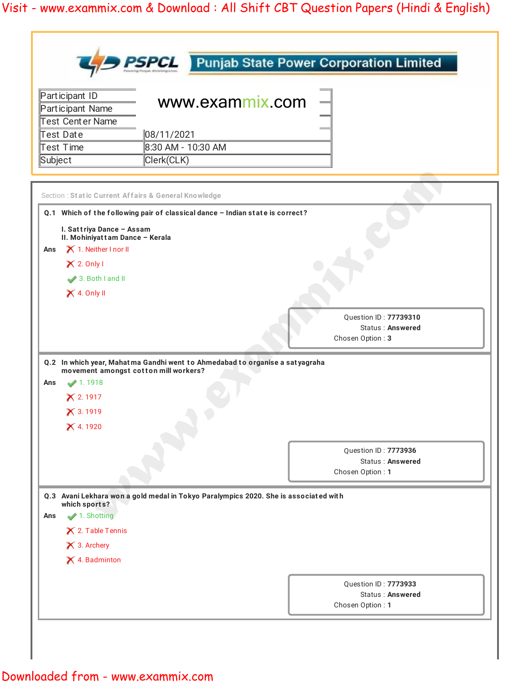|         |                                                              |                    |                                                                                      | <b>PSPCL</b> Punjab State Power Corporation Limited |
|---------|--------------------------------------------------------------|--------------------|--------------------------------------------------------------------------------------|-----------------------------------------------------|
|         | Participant ID<br>Participant Name                           |                    | www.exammix.com                                                                      |                                                     |
|         | Test Center Name                                             |                    |                                                                                      |                                                     |
|         | Test Date                                                    | 08/11/2021         |                                                                                      |                                                     |
|         | Test Time                                                    | 8:30 AM - 10:30 AM |                                                                                      |                                                     |
| Subject |                                                              | Clerk(CLK)         |                                                                                      |                                                     |
|         | Section : Static Current Affairs & General Knowledge         |                    |                                                                                      |                                                     |
|         |                                                              |                    | Q.1 Which of the following pair of classical dance - Indian state is correct?        |                                                     |
|         | I. Sattriya Dance - Assam<br>II. Mohiniyattam Dance - Kerala |                    |                                                                                      |                                                     |
| Ans     | X 1. Neither I nor II                                        |                    |                                                                                      |                                                     |
|         | $X$ 2. Only I                                                |                    |                                                                                      |                                                     |
|         | 3. Both I and II                                             |                    |                                                                                      |                                                     |
|         | $\times$ 4. Only II                                          |                    |                                                                                      |                                                     |
|         |                                                              |                    |                                                                                      | Chosen Option: 3                                    |
| Ans     | movement amongst cotton mill workers?<br>1.1918              |                    | Q.2 In which year, Mahatma Gandhi went to Ahmedabad to organise a satyagraha         |                                                     |
|         | X 2.1917                                                     |                    |                                                                                      |                                                     |
|         | $X$ 3.1919                                                   |                    |                                                                                      |                                                     |
|         | X 4.1920                                                     |                    |                                                                                      |                                                     |
|         |                                                              |                    |                                                                                      |                                                     |
|         |                                                              |                    |                                                                                      | Question ID: 7773936<br>Status: Answered            |
|         |                                                              |                    |                                                                                      | Chosen Option: 1                                    |
|         |                                                              |                    | Q.3 Avani Lekhara won a gold medal in Tokyo Paralympics 2020. She is associated with |                                                     |
|         | which sports?                                                |                    |                                                                                      |                                                     |
| Ans     | 1. Shotting                                                  |                    |                                                                                      |                                                     |
|         | $\times$ 2. Table Tennis                                     |                    |                                                                                      |                                                     |
|         | X 3. Archery                                                 |                    |                                                                                      |                                                     |
|         | X 4. Badminton                                               |                    |                                                                                      |                                                     |
|         |                                                              |                    |                                                                                      | Question ID: 7773933                                |
|         |                                                              |                    |                                                                                      |                                                     |
|         |                                                              |                    |                                                                                      | <b>Status: Answered</b>                             |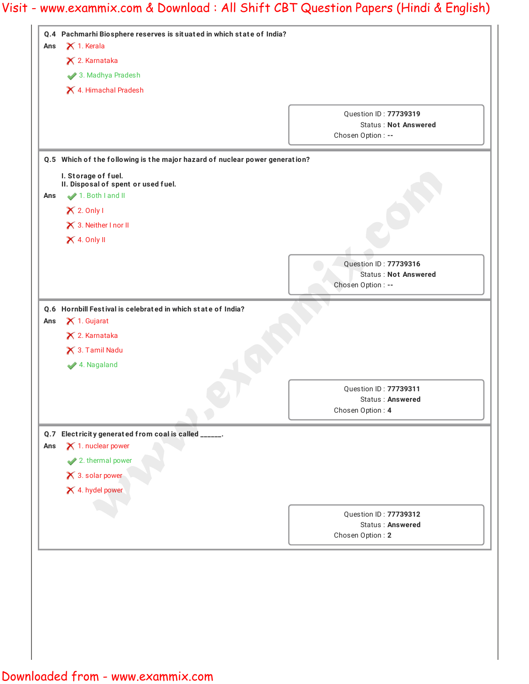|     | X 2. Karnataka                                                              |                                           |
|-----|-----------------------------------------------------------------------------|-------------------------------------------|
|     | 3. Madhya Pradesh                                                           |                                           |
|     | X 4. Himachal Pradesh                                                       |                                           |
|     |                                                                             | Question ID: 77739319                     |
|     |                                                                             | <b>Status: Not Answered</b>               |
|     |                                                                             | Chosen Option : --                        |
|     | Q.5 Which of the following is the major hazard of nuclear power generation? |                                           |
|     | I. Storage of fuel.                                                         |                                           |
| Ans | II. Disposal of spent or used fuel.<br>1. Both I and II                     |                                           |
|     | $\times$ 2. Only I                                                          |                                           |
|     |                                                                             |                                           |
|     | X 3. Neither I nor II                                                       |                                           |
|     | $\times$ 4. Only II                                                         |                                           |
|     |                                                                             | Question ID: 77739316                     |
|     |                                                                             | <b>Status: Not Answered</b>               |
|     |                                                                             | Chosen Option : --                        |
|     | Q.6 Hornbill Festival is celebrated in which state of India?                |                                           |
| Ans | $\times$ 1. Gujarat                                                         |                                           |
|     | X 2. Karnataka                                                              |                                           |
|     | X 3. Tamil Nadu                                                             |                                           |
|     | ◆ 4. Nagaland                                                               |                                           |
|     |                                                                             |                                           |
|     |                                                                             |                                           |
|     |                                                                             | Question ID: 77739311<br>Status: Answered |
|     |                                                                             | Chosen Option: 4                          |
|     | Q.7 Electricity generated from coal is called _____.                        |                                           |
|     | $\times$ 1. nuclear power                                                   |                                           |
|     | 2. thermal power                                                            |                                           |
|     | $\times$ 3. solar power                                                     |                                           |
|     |                                                                             |                                           |
|     | X 4. hydel power                                                            |                                           |
| Ans |                                                                             | Question ID: 77739312                     |
|     |                                                                             | Status: Answered<br>Chosen Option: 2      |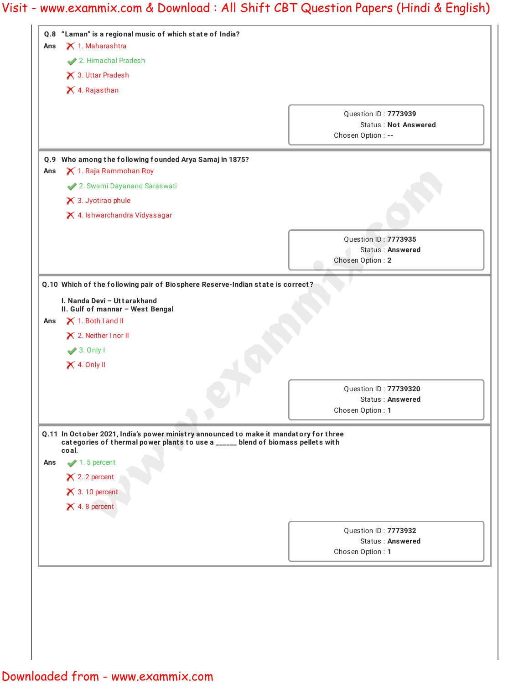|     | Q.8 "Laman" is a regional music of which state of India?        |                                                                                                                                                                          |
|-----|-----------------------------------------------------------------|--------------------------------------------------------------------------------------------------------------------------------------------------------------------------|
| Ans | X 1. Maharashtra                                                |                                                                                                                                                                          |
|     | 2. Himachal Pradesh<br>X 3. Uttar Pradesh                       |                                                                                                                                                                          |
|     | X 4. Rajasthan                                                  |                                                                                                                                                                          |
|     |                                                                 |                                                                                                                                                                          |
|     |                                                                 | Question ID: 7773939                                                                                                                                                     |
|     |                                                                 | <b>Status: Not Answered</b><br>Chosen Option : --                                                                                                                        |
|     |                                                                 |                                                                                                                                                                          |
| Q.9 | Who among the following founded Arya Samaj in 1875?             |                                                                                                                                                                          |
| Ans | X 1. Raja Rammohan Roy                                          |                                                                                                                                                                          |
|     | 2. Swami Dayanand Saraswati                                     |                                                                                                                                                                          |
|     | X 3. Jyotirao phule                                             |                                                                                                                                                                          |
|     | X 4. Ishwarchandra Vidyasagar                                   |                                                                                                                                                                          |
|     |                                                                 | Question ID: 7773935                                                                                                                                                     |
|     |                                                                 | <b>Status: Answered</b>                                                                                                                                                  |
|     |                                                                 | Chosen Option: 2                                                                                                                                                         |
|     |                                                                 | Q.10 Which of the following pair of Biosphere Reserve-Indian state is correct?                                                                                           |
|     |                                                                 |                                                                                                                                                                          |
|     | I. Nanda Devi - Uttarakhand<br>II. Gulf of mannar - West Bengal |                                                                                                                                                                          |
| Ans | X 1. Both I and II                                              |                                                                                                                                                                          |
|     | X 2. Neither I nor II                                           |                                                                                                                                                                          |
|     | $\blacktriangleright$ 3. Only I                                 |                                                                                                                                                                          |
|     | $\times$ 4. Only II                                             |                                                                                                                                                                          |
|     |                                                                 |                                                                                                                                                                          |
|     |                                                                 | Ouestion ID: 77739320<br>Status: Answered                                                                                                                                |
|     |                                                                 | Chosen Option: 1                                                                                                                                                         |
|     |                                                                 |                                                                                                                                                                          |
|     |                                                                 | Q.11 In October 2021, India's power ministry announced to make it mandatory for three<br>categories of thermal power plants to use a _____ blend of biomass pellets with |
|     | coal.                                                           |                                                                                                                                                                          |
|     | $\blacktriangleright$ 1.5 percent                               |                                                                                                                                                                          |
| Ans |                                                                 |                                                                                                                                                                          |
|     | $\times$ 2.2 percent                                            |                                                                                                                                                                          |
|     | $\times$ 3.10 percent                                           |                                                                                                                                                                          |
|     | $\times$ 4.8 percent                                            |                                                                                                                                                                          |
|     |                                                                 |                                                                                                                                                                          |
|     |                                                                 | Question ID: 7773932<br><b>Status: Answered</b>                                                                                                                          |
|     |                                                                 | Chosen Option: 1                                                                                                                                                         |
|     |                                                                 |                                                                                                                                                                          |
|     |                                                                 |                                                                                                                                                                          |
|     |                                                                 |                                                                                                                                                                          |
|     |                                                                 |                                                                                                                                                                          |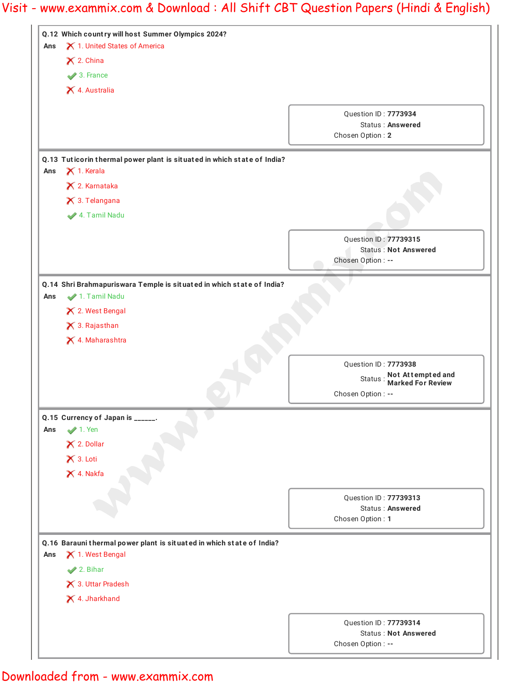

### Downloaded from - www.exammix.com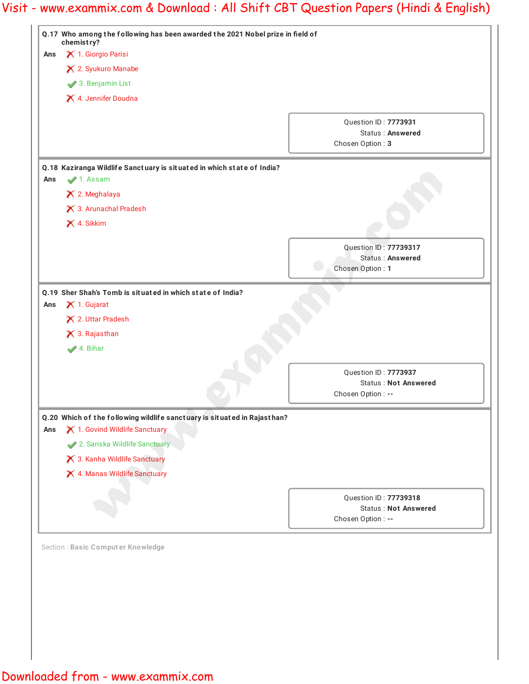|     | Q.17 Who among the following has been awarded the 2021 Nobel prize in field of<br>chemistry? |                                             |
|-----|----------------------------------------------------------------------------------------------|---------------------------------------------|
| Ans | X 1. Giorgio Parisi                                                                          |                                             |
|     | X 2. Syukuro Manabe                                                                          |                                             |
|     | 3. Benjamin List                                                                             |                                             |
|     | X 4. Jennifer Doudna                                                                         |                                             |
|     |                                                                                              |                                             |
|     |                                                                                              | <b>Ouestion ID: 7773931</b>                 |
|     |                                                                                              | <b>Status: Answered</b><br>Chosen Option: 3 |
|     |                                                                                              |                                             |
|     | Q.18 Kaziranga Wildlife Sanctuary is situated in which state of India?                       |                                             |
| Ans | 1. Assam                                                                                     |                                             |
|     | X 2. Meghalaya                                                                               |                                             |
|     | X 3. Arunachal Pradesh                                                                       |                                             |
|     | X 4. Sikkim                                                                                  |                                             |
|     |                                                                                              | Question ID: 77739317                       |
|     |                                                                                              | Status: Answered                            |
|     |                                                                                              | Chosen Option: 1                            |
| Ans | $\times$ 1. Gujarat<br>X 2. Uttar Pradesh<br>X 3. Rajasthan                                  |                                             |
|     |                                                                                              |                                             |
|     | 4. Bihar                                                                                     |                                             |
|     |                                                                                              | Question ID: 7773937                        |
|     |                                                                                              | <b>Status: Not Answered</b>                 |
|     |                                                                                              | Chosen Option : --                          |
|     | Q.20 Which of the following wildlife sanctuary is situated in Rajasthan?                     |                                             |
|     | X 1. Govind Wildlife Sanctuary                                                               |                                             |
|     | 2. Sariska Wildlife Sanctuary                                                                |                                             |
|     | X 3. Kanha Wildlife Sanctuary                                                                |                                             |
|     | X 4. Manas Wildlife Sanctuary                                                                |                                             |
|     |                                                                                              | Question ID: 77739318                       |
|     |                                                                                              | <b>Status: Not Answered</b>                 |
|     |                                                                                              | Chosen Option : --                          |
|     |                                                                                              |                                             |
|     | Section : Basic Comput er Knowledge                                                          |                                             |
|     |                                                                                              |                                             |
| Ans |                                                                                              |                                             |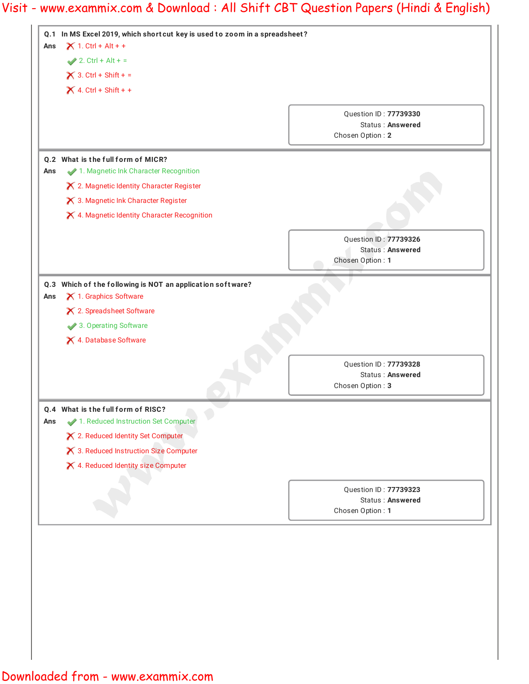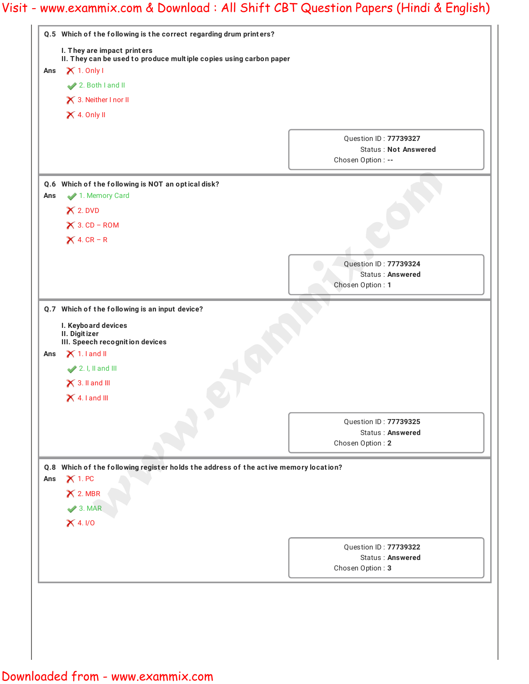|     | Q.5 Which of the following is the correct regarding drum printers?<br>I. They are impact printers<br>II. They can be used to produce multiple copies using carbon paper |                                                                            |  |  |  |
|-----|-------------------------------------------------------------------------------------------------------------------------------------------------------------------------|----------------------------------------------------------------------------|--|--|--|
|     |                                                                                                                                                                         |                                                                            |  |  |  |
| Ans | $\times$ 1. Only I                                                                                                                                                      |                                                                            |  |  |  |
|     | 2. Both I and II                                                                                                                                                        |                                                                            |  |  |  |
|     | X 3. Neither I nor II<br>$\times$ 4. Only II                                                                                                                            |                                                                            |  |  |  |
|     |                                                                                                                                                                         |                                                                            |  |  |  |
|     |                                                                                                                                                                         | Question ID: 77739327<br><b>Status: Not Answered</b><br>Chosen Option : -- |  |  |  |
|     | Q.6 Which of the following is NOT an optical disk?                                                                                                                      |                                                                            |  |  |  |
| Ans | 1. Memory Card                                                                                                                                                          |                                                                            |  |  |  |
|     | $X$ 2. DVD                                                                                                                                                              |                                                                            |  |  |  |
|     | $\times$ 3. CD – ROM                                                                                                                                                    |                                                                            |  |  |  |
|     | $\times$ 4. CR – R                                                                                                                                                      |                                                                            |  |  |  |
|     |                                                                                                                                                                         | Question ID: 77739324                                                      |  |  |  |
|     |                                                                                                                                                                         | Status: Answered                                                           |  |  |  |
|     |                                                                                                                                                                         | Chosen Option: 1                                                           |  |  |  |
|     | Q.7 Which of the following is an input device?                                                                                                                          |                                                                            |  |  |  |
|     | I. Keyboard devices<br>II. Digitizer<br>III. Speech recognition devices                                                                                                 |                                                                            |  |  |  |
| Ans | $\times$ 1.1 and II                                                                                                                                                     |                                                                            |  |  |  |
|     | 2. I, II and III                                                                                                                                                        |                                                                            |  |  |  |
|     | $\times$ 3. II and III                                                                                                                                                  |                                                                            |  |  |  |
|     | $\times$ 4.1 and III                                                                                                                                                    |                                                                            |  |  |  |
|     |                                                                                                                                                                         | Question ID: 77739325                                                      |  |  |  |
|     |                                                                                                                                                                         | <b>Status: Answered</b>                                                    |  |  |  |
|     |                                                                                                                                                                         | Chosen Option: 2                                                           |  |  |  |
|     | Q.8 Which of the following register holds the address of the active memory location?                                                                                    |                                                                            |  |  |  |
| Ans | $X$ 1. PC                                                                                                                                                               |                                                                            |  |  |  |
|     | $\times$ 2. MBR                                                                                                                                                         |                                                                            |  |  |  |
|     | $\blacktriangleright$ 3. MAR                                                                                                                                            |                                                                            |  |  |  |
|     | $X$ 4. I/O                                                                                                                                                              |                                                                            |  |  |  |
|     |                                                                                                                                                                         |                                                                            |  |  |  |
|     |                                                                                                                                                                         | Question ID: 77739322<br><b>Status: Answered</b>                           |  |  |  |
|     |                                                                                                                                                                         | Chosen Option: 3                                                           |  |  |  |
|     |                                                                                                                                                                         |                                                                            |  |  |  |
|     |                                                                                                                                                                         |                                                                            |  |  |  |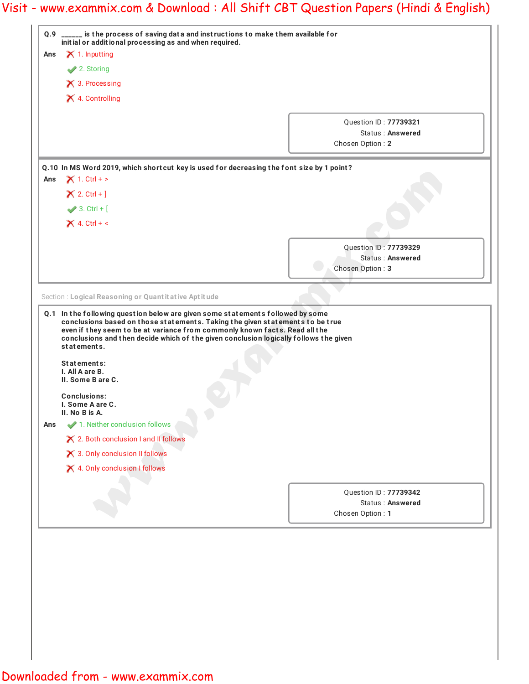| Ans |                                                                                                                                                                                                                                                  | Q.9 _____ is the process of saving data and instructions to make them available for   |
|-----|--------------------------------------------------------------------------------------------------------------------------------------------------------------------------------------------------------------------------------------------------|---------------------------------------------------------------------------------------|
|     | initial or additional processing as and when required.<br>$\times$ 1. Inputting                                                                                                                                                                  |                                                                                       |
|     | <b>◆</b> 2. Storing                                                                                                                                                                                                                              |                                                                                       |
|     | $\times$ 3. Processing                                                                                                                                                                                                                           |                                                                                       |
|     | X 4. Controlling                                                                                                                                                                                                                                 |                                                                                       |
|     |                                                                                                                                                                                                                                                  |                                                                                       |
|     |                                                                                                                                                                                                                                                  | Question ID: 77739321                                                                 |
|     |                                                                                                                                                                                                                                                  | Status: Answered                                                                      |
|     |                                                                                                                                                                                                                                                  | Chosen Option: 2                                                                      |
|     | Q.10 In MS Word 2019, which shortcut key is used for decreasing the font size by 1 point?                                                                                                                                                        |                                                                                       |
| Ans | $X$ 1. Ctrl + >                                                                                                                                                                                                                                  |                                                                                       |
|     | $X 2. CtrI + 1$                                                                                                                                                                                                                                  |                                                                                       |
|     | $\blacktriangleright$ 3. Ctrl + [                                                                                                                                                                                                                |                                                                                       |
|     | $\times$ 4. Ctrl + <                                                                                                                                                                                                                             |                                                                                       |
|     |                                                                                                                                                                                                                                                  |                                                                                       |
|     |                                                                                                                                                                                                                                                  | Question ID: 77739329<br>Status: Answered                                             |
|     |                                                                                                                                                                                                                                                  | Chosen Option: 3                                                                      |
|     |                                                                                                                                                                                                                                                  |                                                                                       |
|     | Section : Logical Reasoning or Quant it at ive Apt it ude                                                                                                                                                                                        |                                                                                       |
|     | statements.<br>Statements:                                                                                                                                                                                                                       | conclusions and then decide which of the given conclusion logically follows the given |
| Ans | I. All A are B.<br>II. Some B are C.<br><b>Conclusions:</b><br>I. Some A are C.<br>II. No B is A.<br>1. Neither conclusion follows<br>X 2. Both conclusion I and II follows<br>X 3. Only conclusion II follows<br>X 4. Only conclusion I follows |                                                                                       |
|     |                                                                                                                                                                                                                                                  |                                                                                       |
|     |                                                                                                                                                                                                                                                  | Question ID: 77739342<br><b>Status: Answered</b>                                      |

Downloaded from - www.exammix.com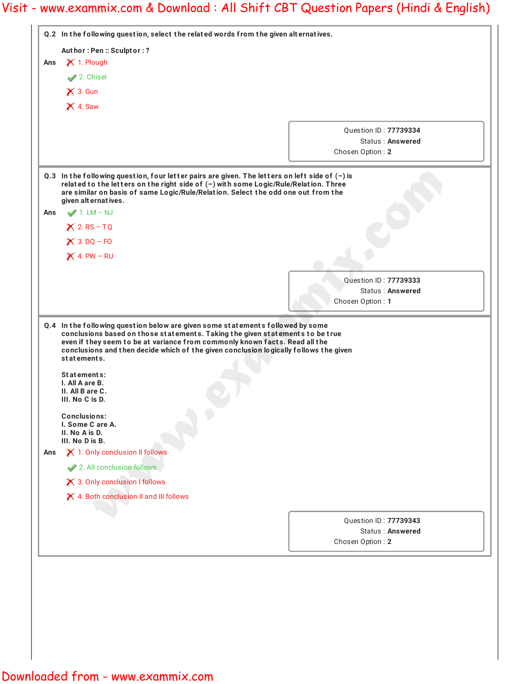|     | Q.2 In the following question, select the related words from the given alternatives.                                                                                                                                                                                                                 |                                           |  |  |  |  |
|-----|------------------------------------------------------------------------------------------------------------------------------------------------------------------------------------------------------------------------------------------------------------------------------------------------------|-------------------------------------------|--|--|--|--|
|     | Author: Pen: Sculptor:?                                                                                                                                                                                                                                                                              |                                           |  |  |  |  |
| Ans | X 1. Plough<br>2. Chisel                                                                                                                                                                                                                                                                             |                                           |  |  |  |  |
|     |                                                                                                                                                                                                                                                                                                      |                                           |  |  |  |  |
|     | $\times$ 3. Gun                                                                                                                                                                                                                                                                                      |                                           |  |  |  |  |
|     | $\times$ 4. Saw                                                                                                                                                                                                                                                                                      |                                           |  |  |  |  |
|     |                                                                                                                                                                                                                                                                                                      |                                           |  |  |  |  |
|     |                                                                                                                                                                                                                                                                                                      | Question ID: 77739334<br>Status: Answered |  |  |  |  |
|     |                                                                                                                                                                                                                                                                                                      | Chosen Option: 2                          |  |  |  |  |
|     |                                                                                                                                                                                                                                                                                                      |                                           |  |  |  |  |
|     | Q.3 In the following question, four letter pairs are given. The letters on left side of $(-)$ is<br>related to the letters on the right side of (-) with some Logic/Rule/Relation. Three<br>are similar on basis of same Logic/Rule/Relation. Select the odd one out from the<br>given alternatives. |                                           |  |  |  |  |
| Ans | $\blacktriangleright$ 1. LM – NJ                                                                                                                                                                                                                                                                     |                                           |  |  |  |  |
|     | $X 2 RS-TQ$                                                                                                                                                                                                                                                                                          |                                           |  |  |  |  |
|     | $\times$ 3. DQ – FO                                                                                                                                                                                                                                                                                  |                                           |  |  |  |  |
|     | $\times$ 4. PW – RU                                                                                                                                                                                                                                                                                  |                                           |  |  |  |  |
|     |                                                                                                                                                                                                                                                                                                      |                                           |  |  |  |  |
|     |                                                                                                                                                                                                                                                                                                      | Question ID: 77739333<br>Status: Answered |  |  |  |  |
|     |                                                                                                                                                                                                                                                                                                      | Chosen Option: 1                          |  |  |  |  |
|     |                                                                                                                                                                                                                                                                                                      |                                           |  |  |  |  |
|     | conclusions and then decide which of the given conclusion logically follows the given<br>statements.<br>Statements:<br>I. All A are B.<br>II. All B are C.                                                                                                                                           |                                           |  |  |  |  |
| Ans | III. No C is D.<br>Conclusions:<br>I. Some C are A.<br>II. No A is D.<br>III. No D is B.<br>X 1. Only conclusion II follows<br>2. All conclusion follows<br>X 3. Only conclusion I follows<br>X 4. Both conclusion II and III follows                                                                | Question ID: 77739343<br>Status: Answered |  |  |  |  |

I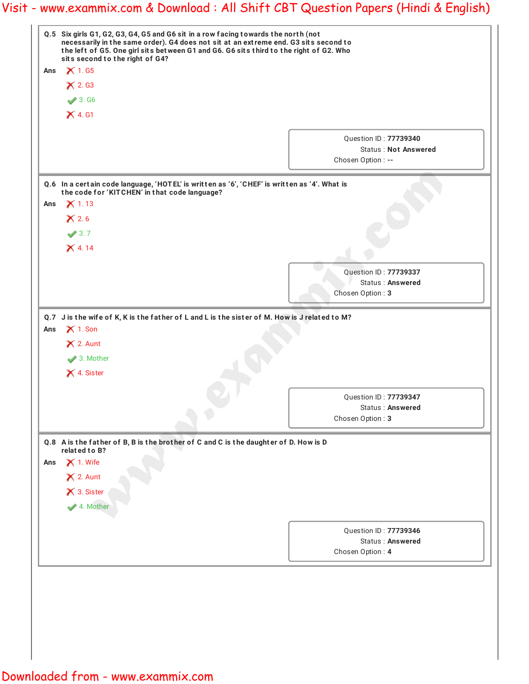|     | Q.5 Six girls G1, G2, G3, G4, G5 and G6 sit in a row facing towards the north (not<br>necessarily in the same order). G4 does not sit at an extreme end. G3 sits second to<br>the left of G5. One girl sits between G1 and G6. G6 sits third to the right of G2. Who<br>sits second to the right of G4? |                                                  |  |  |  |
|-----|---------------------------------------------------------------------------------------------------------------------------------------------------------------------------------------------------------------------------------------------------------------------------------------------------------|--------------------------------------------------|--|--|--|
|     |                                                                                                                                                                                                                                                                                                         |                                                  |  |  |  |
| Ans | $\times$ 1.65                                                                                                                                                                                                                                                                                           |                                                  |  |  |  |
|     | $\times$ 2. G3                                                                                                                                                                                                                                                                                          |                                                  |  |  |  |
|     | $\sqrt{3.}$ G6                                                                                                                                                                                                                                                                                          |                                                  |  |  |  |
|     | $\times$ 4. G1                                                                                                                                                                                                                                                                                          |                                                  |  |  |  |
|     |                                                                                                                                                                                                                                                                                                         | Question ID: 77739340                            |  |  |  |
|     |                                                                                                                                                                                                                                                                                                         | <b>Status: Not Answered</b>                      |  |  |  |
|     |                                                                                                                                                                                                                                                                                                         | Chosen Option : --                               |  |  |  |
|     | Q.6 In a certain code language, 'HOTEL' is written as '6', 'CHEF' is written as '4'. What is                                                                                                                                                                                                            |                                                  |  |  |  |
|     | the code for 'KITCHEN' in that code language?                                                                                                                                                                                                                                                           |                                                  |  |  |  |
| Ans | $\times$ 1.13                                                                                                                                                                                                                                                                                           |                                                  |  |  |  |
|     | $\times$ 2.6                                                                                                                                                                                                                                                                                            |                                                  |  |  |  |
|     | $\sqrt{3.7}$                                                                                                                                                                                                                                                                                            |                                                  |  |  |  |
|     | $X$ 4.14                                                                                                                                                                                                                                                                                                |                                                  |  |  |  |
|     |                                                                                                                                                                                                                                                                                                         | Question ID: 77739337                            |  |  |  |
|     |                                                                                                                                                                                                                                                                                                         | <b>Status: Answered</b>                          |  |  |  |
|     |                                                                                                                                                                                                                                                                                                         | Chosen Option: 3                                 |  |  |  |
|     | 3. Mother                                                                                                                                                                                                                                                                                               |                                                  |  |  |  |
|     | X 4. Sister                                                                                                                                                                                                                                                                                             |                                                  |  |  |  |
|     |                                                                                                                                                                                                                                                                                                         |                                                  |  |  |  |
|     |                                                                                                                                                                                                                                                                                                         | Question ID: 77739347<br><b>Status: Answered</b> |  |  |  |
|     |                                                                                                                                                                                                                                                                                                         | Chosen Option: 3                                 |  |  |  |
|     |                                                                                                                                                                                                                                                                                                         |                                                  |  |  |  |
|     | Q.8 A is the father of B, B is the brother of C and C is the daughter of D. How is D<br>related to B?                                                                                                                                                                                                   |                                                  |  |  |  |
|     | $\times$ 1. Wife                                                                                                                                                                                                                                                                                        |                                                  |  |  |  |
|     | $\times$ 2. Aunt                                                                                                                                                                                                                                                                                        |                                                  |  |  |  |
| Ans | × 3. Sister                                                                                                                                                                                                                                                                                             |                                                  |  |  |  |
|     | 4. Mother                                                                                                                                                                                                                                                                                               |                                                  |  |  |  |
|     |                                                                                                                                                                                                                                                                                                         | Question ID: 77739346                            |  |  |  |
|     |                                                                                                                                                                                                                                                                                                         | <b>Status: Answered</b>                          |  |  |  |
|     |                                                                                                                                                                                                                                                                                                         | Chosen Option: 4                                 |  |  |  |
|     |                                                                                                                                                                                                                                                                                                         |                                                  |  |  |  |
|     |                                                                                                                                                                                                                                                                                                         |                                                  |  |  |  |
|     |                                                                                                                                                                                                                                                                                                         |                                                  |  |  |  |
|     |                                                                                                                                                                                                                                                                                                         |                                                  |  |  |  |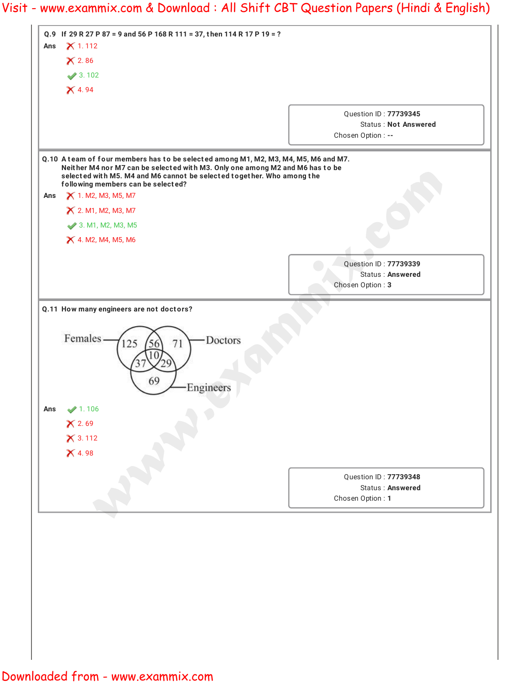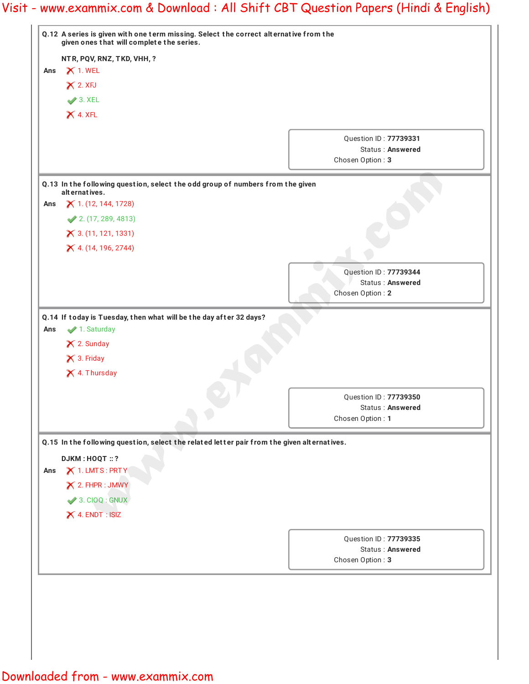|     | Q.12 A series is given with one term missing. Select the correct alternative from the<br>given ones that will complete the series. |                                                  |  |  |
|-----|------------------------------------------------------------------------------------------------------------------------------------|--------------------------------------------------|--|--|
|     | NTR, PQV, RNZ, TKD, VHH, ?                                                                                                         |                                                  |  |  |
| Ans | $\times$ 1. WEL                                                                                                                    |                                                  |  |  |
|     | $\times$ 2. XFJ                                                                                                                    |                                                  |  |  |
|     | $\blacktriangleright$ 3. XEL                                                                                                       |                                                  |  |  |
|     | $X$ 4. XFL                                                                                                                         |                                                  |  |  |
|     |                                                                                                                                    |                                                  |  |  |
|     |                                                                                                                                    | Question ID: 77739331<br>Status: Answered        |  |  |
|     |                                                                                                                                    | Chosen Option: 3                                 |  |  |
|     |                                                                                                                                    |                                                  |  |  |
|     | Q.13 In the following question, select the odd group of numbers from the given<br>alternatives.                                    |                                                  |  |  |
| Ans | $X$ 1. (12, 144, 1728)                                                                                                             |                                                  |  |  |
|     | 2. (17, 289, 4813)                                                                                                                 |                                                  |  |  |
|     | $X$ 3. (11, 121, 1331)                                                                                                             |                                                  |  |  |
|     | X 4. (14, 196, 2744)                                                                                                               |                                                  |  |  |
|     |                                                                                                                                    |                                                  |  |  |
|     |                                                                                                                                    | Question ID: 77739344                            |  |  |
|     |                                                                                                                                    | Status: Answered<br>Chosen Option: 2             |  |  |
|     |                                                                                                                                    |                                                  |  |  |
| Ans | Q.14 If today is Tuesday, then what will be the day after 32 days?<br>1. Saturday<br>X 2. Sunday                                   |                                                  |  |  |
|     | X 3. Friday                                                                                                                        |                                                  |  |  |
|     | X 4. Thursday                                                                                                                      |                                                  |  |  |
|     |                                                                                                                                    |                                                  |  |  |
|     |                                                                                                                                    | Question ID: 77739350<br><b>Status: Answered</b> |  |  |
|     |                                                                                                                                    | Chosen Option: 1                                 |  |  |
|     |                                                                                                                                    |                                                  |  |  |
|     | Q.15 In the following question, select the related letter pair from the given alternatives.                                        |                                                  |  |  |
| Ans | <b>DJKM: HOQT: ?</b><br>X 1. LMTS: PRTY                                                                                            |                                                  |  |  |
|     | $\times$ 2. FHPR : JMWY                                                                                                            |                                                  |  |  |
|     | $\blacktriangleright$ 3. CIOQ : GNUX                                                                                               |                                                  |  |  |
|     | $\times$ 4. ENDT : ISIZ                                                                                                            |                                                  |  |  |
|     |                                                                                                                                    |                                                  |  |  |
|     |                                                                                                                                    | Question ID: 77739335                            |  |  |
|     |                                                                                                                                    | <b>Status: Answered</b>                          |  |  |
|     |                                                                                                                                    | Chosen Option: 3                                 |  |  |
|     |                                                                                                                                    |                                                  |  |  |
|     |                                                                                                                                    |                                                  |  |  |
|     |                                                                                                                                    |                                                  |  |  |

I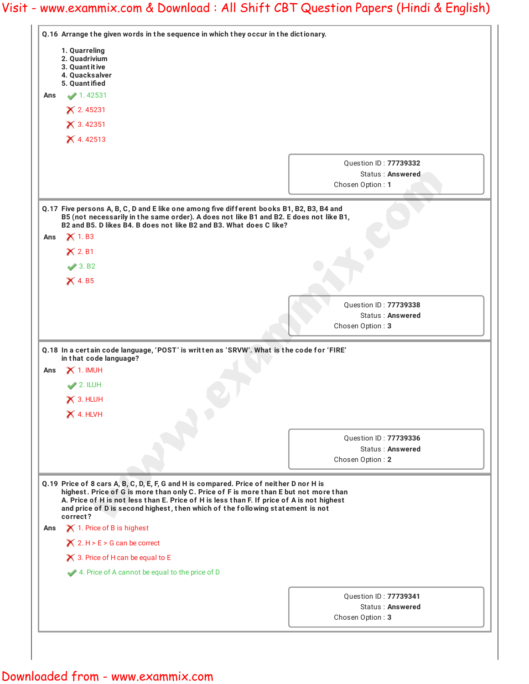|     | Q.16 Arrange the given words in the sequence in which they occur in the dictionary.                                                                                                                                                                                          |                                                                             |
|-----|------------------------------------------------------------------------------------------------------------------------------------------------------------------------------------------------------------------------------------------------------------------------------|-----------------------------------------------------------------------------|
|     | 1. Quarreling<br>2. Quadrivium<br>3. Quant it ive<br>4. Quacksalver<br>5. Quantified                                                                                                                                                                                         |                                                                             |
| Ans | 1.42531                                                                                                                                                                                                                                                                      |                                                                             |
|     | $X$ 2.45231                                                                                                                                                                                                                                                                  |                                                                             |
|     | × 3.42351                                                                                                                                                                                                                                                                    |                                                                             |
|     | $X$ 4.42513                                                                                                                                                                                                                                                                  |                                                                             |
|     |                                                                                                                                                                                                                                                                              |                                                                             |
|     |                                                                                                                                                                                                                                                                              | Question ID: 77739332                                                       |
|     |                                                                                                                                                                                                                                                                              | Status: Answered<br>Chosen Option: 1                                        |
|     |                                                                                                                                                                                                                                                                              |                                                                             |
|     | Q.17 Five persons A, B, C, D and E like one among five different books B1, B2, B3, B4 and<br>B5 (not necessarily in the same order). A does not like B1 and B2. E does not like B1,<br>B2 and B5. D likes B4. B does not like B2 and B3. What does C like?                   |                                                                             |
| Ans | $\times$ 1. B3                                                                                                                                                                                                                                                               |                                                                             |
|     | $\times$ 2. B1                                                                                                                                                                                                                                                               |                                                                             |
|     | $\sqrt{3. B2}$                                                                                                                                                                                                                                                               |                                                                             |
|     | $\times$ 4. B5                                                                                                                                                                                                                                                               |                                                                             |
|     |                                                                                                                                                                                                                                                                              | <b>Ouestion ID: 77739338</b><br><b>Status: Answered</b><br>Chosen Option: 3 |
| Ans | Q.18 In a certain code language, 'POST' is written as 'SRVW'. What is the code for 'FIRE'<br>in that code language?<br>$\times$ 1. IMUH                                                                                                                                      |                                                                             |
|     | $2.$ ILUH                                                                                                                                                                                                                                                                    |                                                                             |
|     | $\times$ 3. HLUH                                                                                                                                                                                                                                                             |                                                                             |
|     | X 4. HLVH                                                                                                                                                                                                                                                                    |                                                                             |
|     |                                                                                                                                                                                                                                                                              | Question ID: 77739336                                                       |
|     |                                                                                                                                                                                                                                                                              | Status: Answered                                                            |
|     |                                                                                                                                                                                                                                                                              | Chosen Option: 2                                                            |
|     | Q.19 Price of 8 cars A, B, C, D, E, F, G and H is compared. Price of neither D nor H is<br>highest. Price of G is more than only C. Price of F is more than E but not more than<br>A. Price of H is not less than E. Price of H is less than F. If price of A is not highest |                                                                             |
|     | and price of D is second highest, then which of the following statement is not<br>correct?                                                                                                                                                                                   |                                                                             |
| Ans | $\times$ 1. Price of B is highest                                                                                                                                                                                                                                            |                                                                             |
|     | $\times$ 2. H > E > G can be correct                                                                                                                                                                                                                                         |                                                                             |
|     | $\times$ 3. Price of H can be equal to E                                                                                                                                                                                                                                     |                                                                             |
|     | 4. Price of A cannot be equal to the price of D                                                                                                                                                                                                                              |                                                                             |
|     |                                                                                                                                                                                                                                                                              |                                                                             |
|     |                                                                                                                                                                                                                                                                              | Question ID: 77739341<br>Status: Answered                                   |

## Downloaded from - www.exammix.com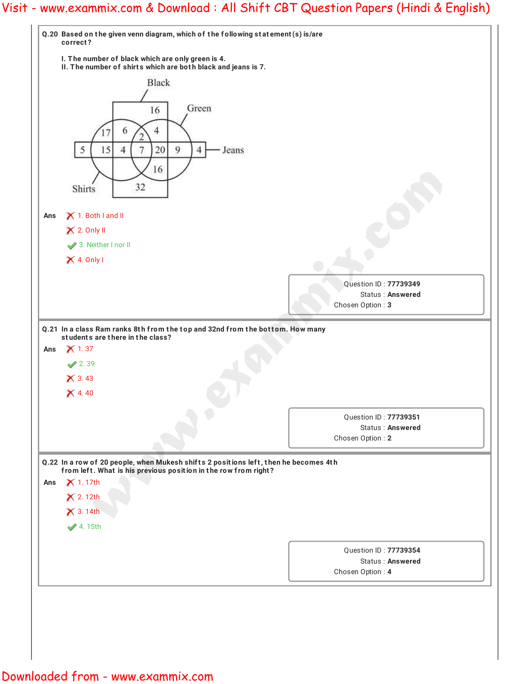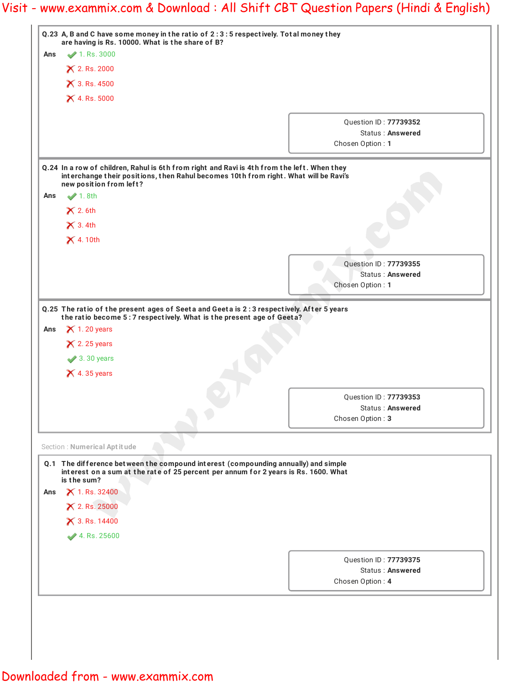|     | Q.23 A, B and C have some money in the ratio of 2:3:5 respectively. Total money they<br>are having is Rs. 10000. What is the share of B?                                                                                 |                                                  |
|-----|--------------------------------------------------------------------------------------------------------------------------------------------------------------------------------------------------------------------------|--------------------------------------------------|
| Ans | $\blacktriangleright$ 1. Rs. 3000                                                                                                                                                                                        |                                                  |
|     | <b>X</b> 2. Rs. 2000                                                                                                                                                                                                     |                                                  |
|     | $\times$ 3. Rs. 4500                                                                                                                                                                                                     |                                                  |
|     | $\times$ 4. Rs. 5000                                                                                                                                                                                                     |                                                  |
|     |                                                                                                                                                                                                                          | Question ID: 77739352                            |
|     |                                                                                                                                                                                                                          | Status: Answered                                 |
|     |                                                                                                                                                                                                                          | Chosen Option: 1                                 |
|     | Q.24 In a row of children, Rahul is 6th from right and Ravi is 4th from the left. When they<br>interchange their positions, then Rahul becomes 10th from right. What will be Ravi's<br>new position from left?           |                                                  |
| Ans | $\blacktriangleright$ 1.8th                                                                                                                                                                                              |                                                  |
|     | $\times$ 2.6th                                                                                                                                                                                                           |                                                  |
|     | $\times$ 3.4th                                                                                                                                                                                                           |                                                  |
|     | $\times$ 4.10th                                                                                                                                                                                                          |                                                  |
|     |                                                                                                                                                                                                                          |                                                  |
|     |                                                                                                                                                                                                                          | Question ID: 77739355<br><b>Status: Answered</b> |
|     |                                                                                                                                                                                                                          | Chosen Option: 1                                 |
|     |                                                                                                                                                                                                                          |                                                  |
| Ans | $\times$ 1.20 years<br>$\times$ 2.25 years<br>$\blacktriangleright$ 3.30 years<br>$\times$ 4.35 years                                                                                                                    |                                                  |
|     |                                                                                                                                                                                                                          |                                                  |
|     |                                                                                                                                                                                                                          |                                                  |
|     |                                                                                                                                                                                                                          | Question ID: 77739353<br>Status: Answered        |
|     |                                                                                                                                                                                                                          | Chosen Option: 3                                 |
|     |                                                                                                                                                                                                                          |                                                  |
|     | Section : Numerical Aptitude<br>Q.1 The difference between the compound interest (compounding annually) and simple<br>interest on a sum at the rate of 25 percent per annum for 2 years is Rs. 1600. What<br>is the sum? |                                                  |
| Ans | <b>X</b> 1. Rs. 32400                                                                                                                                                                                                    |                                                  |
|     | × 2. Rs. 25000                                                                                                                                                                                                           |                                                  |
|     | × 3. Rs. 14400                                                                                                                                                                                                           |                                                  |
|     | 4. Rs. 25600                                                                                                                                                                                                             |                                                  |
|     |                                                                                                                                                                                                                          | Question ID: 77739375                            |
|     |                                                                                                                                                                                                                          | Status: Answered                                 |
|     |                                                                                                                                                                                                                          | Chosen Option: 4                                 |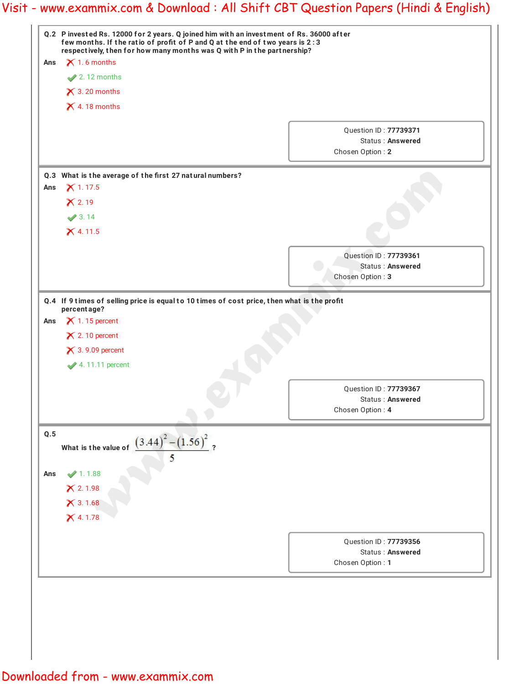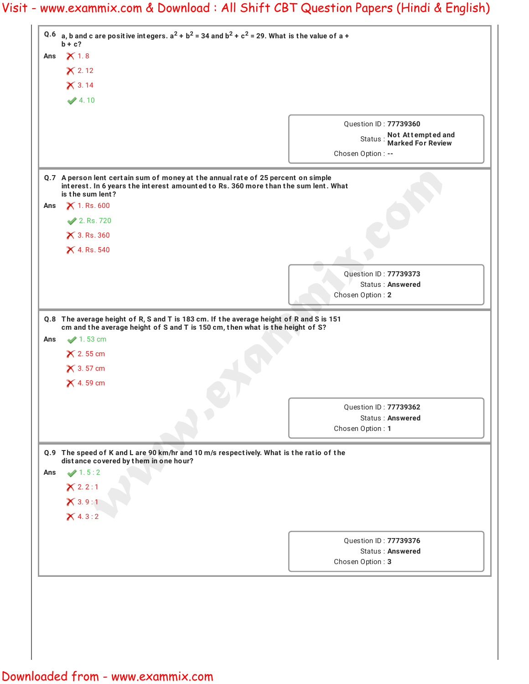|     | Q.6 a, b and c are positive integers. $a^2 + b^2 = 34$ and $b^2 + c^2 = 29$ . What is the value of a +<br>$b + c?$                                                      |                                                |
|-----|-------------------------------------------------------------------------------------------------------------------------------------------------------------------------|------------------------------------------------|
|     | Ans $\bigtimes$ 1.8                                                                                                                                                     |                                                |
|     | $\times$ 2.12                                                                                                                                                           |                                                |
|     | $X$ 3.14                                                                                                                                                                |                                                |
|     | 4.10                                                                                                                                                                    |                                                |
|     |                                                                                                                                                                         |                                                |
|     |                                                                                                                                                                         | Question ID: 77739360                          |
|     |                                                                                                                                                                         | Status: Not Attempted and<br>Marked For Review |
|     |                                                                                                                                                                         | Chosen Option : --                             |
|     |                                                                                                                                                                         |                                                |
|     | Q.7 A person lent certain sum of money at the annual rate of 25 percent on simple<br>interest. In 6 years the interest amounted to Rs. 360 more than the sum lent. What |                                                |
|     | is the sum lent?                                                                                                                                                        |                                                |
| Ans | $X$ 1. Rs. 600                                                                                                                                                          |                                                |
|     | 2. Rs. 720                                                                                                                                                              |                                                |
|     | $\times$ 3. Rs. 360                                                                                                                                                     |                                                |
|     | $\times$ 4. Rs. 540                                                                                                                                                     |                                                |
|     |                                                                                                                                                                         | Question ID: 77739373                          |
|     |                                                                                                                                                                         | Status: Answered                               |
|     |                                                                                                                                                                         | Chosen Option: 2                               |
| Ans | cm and the average height of S and T is 150 cm, then what is the height of S?<br>$\blacktriangleright$ 1.53 cm<br>$\times$ 2.55 cm<br>$\times$ 3.57 cm                  |                                                |
|     | $\times$ 4.59 cm                                                                                                                                                        |                                                |
|     |                                                                                                                                                                         |                                                |
|     |                                                                                                                                                                         | Question ID: 77739362                          |
|     |                                                                                                                                                                         | Status: Answered<br>Chosen Option: 1           |
|     |                                                                                                                                                                         |                                                |
|     | Q.9 The speed of K and L are 90 km/hr and 10 m/s respectively. What is the ratio of the<br>distance covered by them in one hour?                                        |                                                |
| Ans | 1.5:2                                                                                                                                                                   |                                                |
|     | X 2.2:1                                                                                                                                                                 |                                                |
|     | X3.9:1                                                                                                                                                                  |                                                |
|     | X 4.3:2                                                                                                                                                                 |                                                |
|     |                                                                                                                                                                         |                                                |
|     |                                                                                                                                                                         | Question ID: 77739376                          |
|     |                                                                                                                                                                         | Status: Answered<br>Chosen Option: 3           |
|     |                                                                                                                                                                         |                                                |
|     |                                                                                                                                                                         |                                                |
|     |                                                                                                                                                                         |                                                |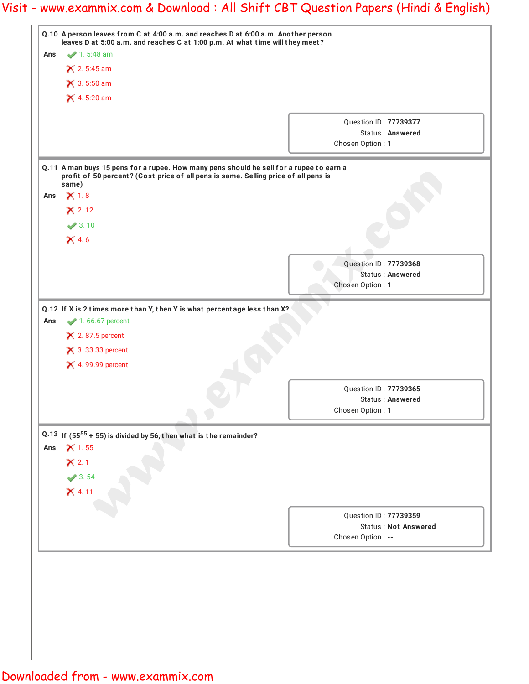| $1.5:48$ am                                                                         |                                                                                                                                                                     |
|-------------------------------------------------------------------------------------|---------------------------------------------------------------------------------------------------------------------------------------------------------------------|
|                                                                                     |                                                                                                                                                                     |
| $\times$ 2.5:45 am                                                                  |                                                                                                                                                                     |
| $\times$ 3.5:50 am                                                                  |                                                                                                                                                                     |
| $X$ 4.5:20 am                                                                       |                                                                                                                                                                     |
|                                                                                     |                                                                                                                                                                     |
|                                                                                     | Question ID: 77739377<br>Status: Answered                                                                                                                           |
|                                                                                     | Chosen Option: 1                                                                                                                                                    |
|                                                                                     |                                                                                                                                                                     |
| profit of 50 percent? (Cost price of all pens is same. Selling price of all pens is |                                                                                                                                                                     |
|                                                                                     |                                                                                                                                                                     |
|                                                                                     |                                                                                                                                                                     |
|                                                                                     |                                                                                                                                                                     |
|                                                                                     |                                                                                                                                                                     |
|                                                                                     |                                                                                                                                                                     |
|                                                                                     | Question ID: 77739368                                                                                                                                               |
|                                                                                     | Status: Answered<br>Chosen Option: 1                                                                                                                                |
|                                                                                     |                                                                                                                                                                     |
| $\blacktriangleright$ 1.66.67 percent                                               |                                                                                                                                                                     |
| $\times$ 2.87.5 percent<br>$\times$ 3.33.33 percent<br>$\times$ 4.99.99 percent     |                                                                                                                                                                     |
|                                                                                     |                                                                                                                                                                     |
|                                                                                     | Question ID: 77739365<br>Status: Answered                                                                                                                           |
|                                                                                     | Chosen Option: 1                                                                                                                                                    |
| Q.13 If $(55^{55} + 55)$ is divided by 56, then what is the remainder?              |                                                                                                                                                                     |
|                                                                                     |                                                                                                                                                                     |
|                                                                                     | Question ID: 77739359<br><b>Status: Not Answered</b>                                                                                                                |
|                                                                                     | Q.11 A man buys 15 pens for a rupee. How many pens should he sell for a rupee to earn a<br>Q.12 If X is 2 times more than Y, then Y is what percentage less than X? |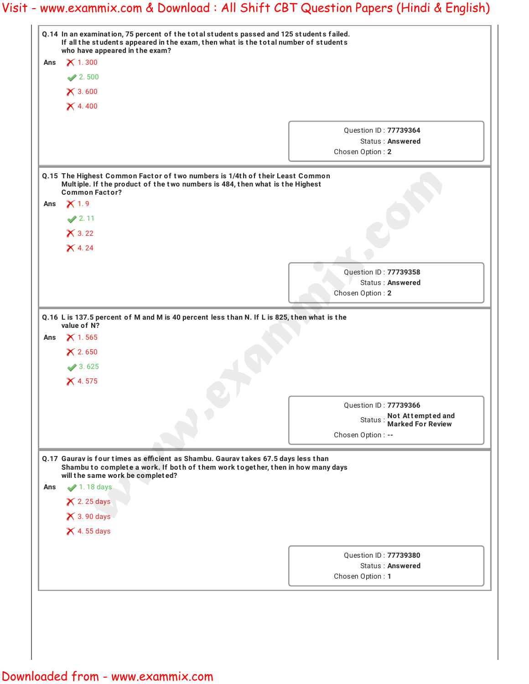|     | Q.14 In an examination, 75 percent of the total students passed and 125 students failed.<br>If all the students appeared in the exam, then what is the total number of students                           |                                                |  |
|-----|-----------------------------------------------------------------------------------------------------------------------------------------------------------------------------------------------------------|------------------------------------------------|--|
| Ans | who have appeared in the exam?<br>$\times$ 1.300                                                                                                                                                          |                                                |  |
|     | 2.500                                                                                                                                                                                                     |                                                |  |
|     | $\times$ 3.600                                                                                                                                                                                            |                                                |  |
|     | $X$ 4.400                                                                                                                                                                                                 |                                                |  |
|     |                                                                                                                                                                                                           |                                                |  |
|     |                                                                                                                                                                                                           | Question ID: 77739364                          |  |
|     |                                                                                                                                                                                                           | <b>Status: Answered</b>                        |  |
|     |                                                                                                                                                                                                           | Chosen Option: 2                               |  |
|     | Q.15 The Highest Common Factor of two numbers is 1/4th of their Least Common                                                                                                                              |                                                |  |
|     | Multiple. If the product of the two numbers is 484, then what is the Highest<br><b>Common Factor?</b>                                                                                                     |                                                |  |
| Ans | $\times$ 1.9                                                                                                                                                                                              |                                                |  |
|     | $\sqrt{2.11}$                                                                                                                                                                                             |                                                |  |
|     | $\times$ 3.22                                                                                                                                                                                             |                                                |  |
|     | $X$ 4.24                                                                                                                                                                                                  |                                                |  |
|     |                                                                                                                                                                                                           |                                                |  |
|     |                                                                                                                                                                                                           | Question ID: 77739358                          |  |
|     |                                                                                                                                                                                                           | <b>Status: Answered</b>                        |  |
|     |                                                                                                                                                                                                           | Chosen Option: 2                               |  |
|     | Q.16 L is 137.5 percent of M and M is 40 percent less than N. If L is 825, then what is the<br>value of N?                                                                                                |                                                |  |
| Ans | $X$ 1.565                                                                                                                                                                                                 |                                                |  |
|     | X 2.650                                                                                                                                                                                                   |                                                |  |
|     | 3.625                                                                                                                                                                                                     |                                                |  |
|     | $X$ 4.575                                                                                                                                                                                                 |                                                |  |
|     |                                                                                                                                                                                                           |                                                |  |
|     |                                                                                                                                                                                                           | Question ID: 77739366                          |  |
|     |                                                                                                                                                                                                           | Status: Not Attempted and<br>Marked For Review |  |
|     |                                                                                                                                                                                                           | Chosen Option: --                              |  |
|     | Q.17 Gaurav is four times as efficient as Shambu. Gaurav takes 67.5 days less than<br>Shambu to complete a work. If both of them work together, then in how many days<br>will the same work be completed? |                                                |  |
| Ans | $\blacktriangleright$ 1.18 days                                                                                                                                                                           |                                                |  |
|     | $\times$ 2.25 days                                                                                                                                                                                        |                                                |  |
|     | $\times$ 3.90 days                                                                                                                                                                                        |                                                |  |
|     | $\times$ 4.55 days                                                                                                                                                                                        |                                                |  |
|     |                                                                                                                                                                                                           |                                                |  |
|     |                                                                                                                                                                                                           | Question ID: 77739380                          |  |
|     |                                                                                                                                                                                                           | Status: Answered                               |  |
|     |                                                                                                                                                                                                           | Chosen Option: 1                               |  |
|     |                                                                                                                                                                                                           |                                                |  |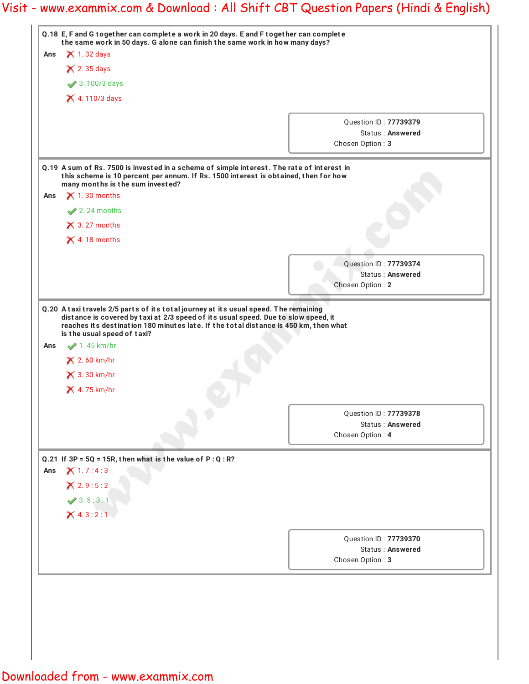|     |                                                                 | Q.18 E, F and G together can complete a work in 20 days. E and F together can complete<br>the same work in 50 days. G alone can finish the same work in how many days?            |
|-----|-----------------------------------------------------------------|-----------------------------------------------------------------------------------------------------------------------------------------------------------------------------------|
| Ans | $\times$ 1.32 days                                              |                                                                                                                                                                                   |
|     | $\times$ 2.35 days                                              |                                                                                                                                                                                   |
|     | 3.100/3 days                                                    |                                                                                                                                                                                   |
|     | × 4.110/3 days                                                  |                                                                                                                                                                                   |
|     |                                                                 |                                                                                                                                                                                   |
|     |                                                                 | Question ID: 77739379<br><b>Status: Answered</b>                                                                                                                                  |
|     |                                                                 | Chosen Option: 3                                                                                                                                                                  |
|     | many months is the sum invested?                                | Q.19 A sum of Rs. 7500 is invested in a scheme of simple interest. The rate of interest in<br>this scheme is 10 percent per annum. If Rs. 1500 interest is obtained, then for how |
| Ans | $\times$ 1.30 months                                            |                                                                                                                                                                                   |
|     | $2.24$ months                                                   |                                                                                                                                                                                   |
|     | $\times$ 3.27 months                                            |                                                                                                                                                                                   |
|     | $\times$ 4.18 months                                            |                                                                                                                                                                                   |
|     |                                                                 |                                                                                                                                                                                   |
|     |                                                                 | Question ID: 77739374<br><b>Status: Answered</b>                                                                                                                                  |
|     |                                                                 | Chosen Option: 2                                                                                                                                                                  |
| Ans | is the usual speed of taxi?<br>$\blacktriangleright$ 1.45 km/hr | reaches its destination 180 minutes late. If the total distance is 450 km, then what                                                                                              |
|     | $\times$ 2.60 km/hr<br>$\times$ 3.30 km/hr                      |                                                                                                                                                                                   |
|     | $\times$ 4.75 km/hr                                             |                                                                                                                                                                                   |
|     |                                                                 | <b>Ouestion ID: 77739378</b>                                                                                                                                                      |
|     |                                                                 | <b>Status: Answered</b>                                                                                                                                                           |
|     |                                                                 | Chosen Option: 4                                                                                                                                                                  |
|     | Q.21 If $3P = 5Q = 15R$ , then what is the value of $P:Q:R?$    |                                                                                                                                                                                   |
|     | X1.7:4:3                                                        |                                                                                                                                                                                   |
|     | X 2.9:5:2                                                       |                                                                                                                                                                                   |
|     | 3.5:3:1                                                         |                                                                                                                                                                                   |
|     | X4.3:2:1                                                        |                                                                                                                                                                                   |
| Ans |                                                                 |                                                                                                                                                                                   |
|     |                                                                 | Question ID: 77739370                                                                                                                                                             |
|     |                                                                 | <b>Status: Answered</b><br>Chosen Option: 3                                                                                                                                       |
|     |                                                                 |                                                                                                                                                                                   |
|     |                                                                 |                                                                                                                                                                                   |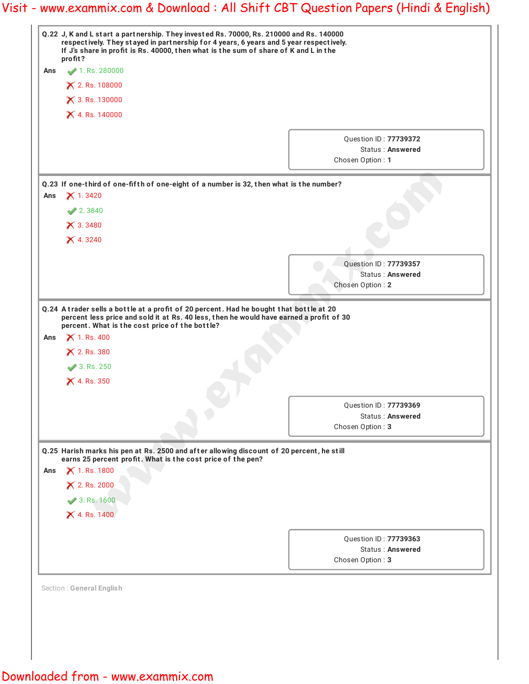|     | Q.22 J, K and L start a partnership. They invested Rs. 70000, Rs. 210000 and Rs. 140000<br>respectively. They stayed in partnership for 4 years, 6 years and 5 year respectively.<br>If J's share in profit is Rs. 40000, then what is the sum of share of K and L in the<br>profit? |                                                               |  |
|-----|--------------------------------------------------------------------------------------------------------------------------------------------------------------------------------------------------------------------------------------------------------------------------------------|---------------------------------------------------------------|--|
| Ans | 1. Rs. 280000                                                                                                                                                                                                                                                                        |                                                               |  |
|     | × 2. Rs. 108000                                                                                                                                                                                                                                                                      |                                                               |  |
|     | × 3. Rs. 130000                                                                                                                                                                                                                                                                      |                                                               |  |
|     | X 4. Rs. 140000                                                                                                                                                                                                                                                                      |                                                               |  |
|     |                                                                                                                                                                                                                                                                                      | Question ID: 77739372<br>Status: Answered<br>Chosen Option: 1 |  |
|     | Q.23 If one-third of one-fifth of one-eight of a number is 32, then what is the number?                                                                                                                                                                                              |                                                               |  |
| Ans | $\times$ 1.3420                                                                                                                                                                                                                                                                      |                                                               |  |
|     | 2.3840                                                                                                                                                                                                                                                                               |                                                               |  |
|     | X3.3480                                                                                                                                                                                                                                                                              |                                                               |  |
|     | $X$ 4.3240                                                                                                                                                                                                                                                                           |                                                               |  |
|     |                                                                                                                                                                                                                                                                                      | Question ID: 77739357                                         |  |
|     |                                                                                                                                                                                                                                                                                      | <b>Status: Answered</b>                                       |  |
|     |                                                                                                                                                                                                                                                                                      | Chosen Option: 2                                              |  |
|     | Q.24 A trader sells a bottle at a profit of 20 percent. Had he bought that bottle at 20<br>percent less price and sold it at Rs. 40 less, then he would have earned a profit of 30<br>percent. What is the cost price of the bottle?                                                 |                                                               |  |
| Ans | <b>X</b> 1. Rs. 400<br>$\times$ 2. Rs. 380<br>3. Rs. 250                                                                                                                                                                                                                             |                                                               |  |
|     | $X$ 4. Rs. 350                                                                                                                                                                                                                                                                       |                                                               |  |
|     |                                                                                                                                                                                                                                                                                      |                                                               |  |
|     |                                                                                                                                                                                                                                                                                      | Question ID: 77739369                                         |  |
|     |                                                                                                                                                                                                                                                                                      | Status: Answered<br>Chosen Option: 3                          |  |
|     | Q.25 Harish marks his pen at Rs. 2500 and after allowing discount of 20 percent, he still                                                                                                                                                                                            |                                                               |  |
|     | earns 25 percent profit. What is the cost price of the pen?                                                                                                                                                                                                                          |                                                               |  |
| Ans | <b>X</b> 1. Rs. 1800                                                                                                                                                                                                                                                                 |                                                               |  |
|     | <b>X</b> 2. Rs. 2000                                                                                                                                                                                                                                                                 |                                                               |  |
|     | 3. Rs. 1600                                                                                                                                                                                                                                                                          |                                                               |  |
|     | $\times$ 4. Rs. 1400                                                                                                                                                                                                                                                                 |                                                               |  |
|     |                                                                                                                                                                                                                                                                                      | Question ID: 77739363                                         |  |
|     |                                                                                                                                                                                                                                                                                      | Status: Answered                                              |  |
|     |                                                                                                                                                                                                                                                                                      | Chosen Option: 3                                              |  |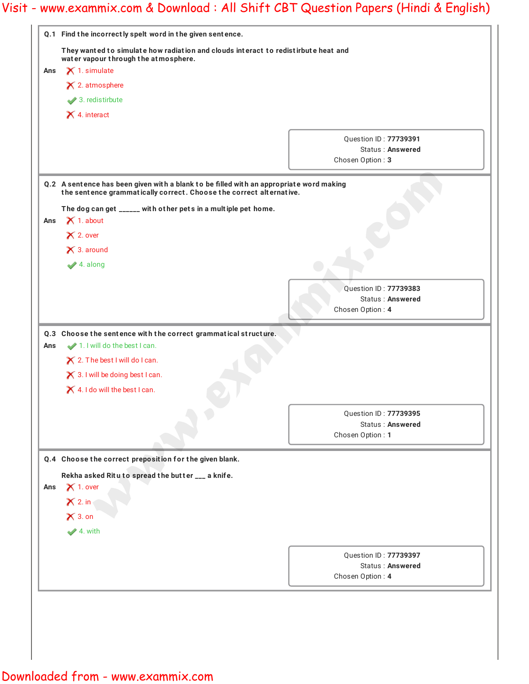| They wanted to simulate how radiation and clouds interact to redistirbute heat and<br>water vapour through the atmosphere.<br>$\times$ 1. simulate<br>Ans<br>$\times$ 2. atmosphere<br>$\blacktriangleright$ 3. redistirbute<br>$\times$ 4. interact<br>Q.2 A sentence has been given with a blank to be filled with an appropriate word making<br>the sentence grammatically correct. Choose the correct alternative.<br>The dog can get _____ with other pets in a multiple pet home.<br>$\times$ 1. about<br>Ans<br>$\times$ 2. over<br>$\times$ 3. around<br>$\blacktriangleright$ 4. along<br>Q.3 Choose the sentence with the correct grammatical structure.<br>1. I will do the best I can.<br>Ans<br>$\times$ 2. The best I will do I can.<br>$\times$ 3.1 will be doing best I can.<br>$\times$ 4.1 do will the best I can.<br>Q.4 Choose the correct preposition for the given blank.<br>Rekha asked Ritu to spread the butter ___ a knife.<br>$\times$ 1. over<br>Ans<br>$\times$ 2. in | Question ID: 77739391<br>Status: Answered<br>Chosen Option: 3<br>Question ID: 77739383<br>Status: Answered<br>Chosen Option: 4 |  |
|----------------------------------------------------------------------------------------------------------------------------------------------------------------------------------------------------------------------------------------------------------------------------------------------------------------------------------------------------------------------------------------------------------------------------------------------------------------------------------------------------------------------------------------------------------------------------------------------------------------------------------------------------------------------------------------------------------------------------------------------------------------------------------------------------------------------------------------------------------------------------------------------------------------------------------------------------------------------------------------------------|--------------------------------------------------------------------------------------------------------------------------------|--|
|                                                                                                                                                                                                                                                                                                                                                                                                                                                                                                                                                                                                                                                                                                                                                                                                                                                                                                                                                                                                    |                                                                                                                                |  |
|                                                                                                                                                                                                                                                                                                                                                                                                                                                                                                                                                                                                                                                                                                                                                                                                                                                                                                                                                                                                    |                                                                                                                                |  |
|                                                                                                                                                                                                                                                                                                                                                                                                                                                                                                                                                                                                                                                                                                                                                                                                                                                                                                                                                                                                    |                                                                                                                                |  |
|                                                                                                                                                                                                                                                                                                                                                                                                                                                                                                                                                                                                                                                                                                                                                                                                                                                                                                                                                                                                    |                                                                                                                                |  |
|                                                                                                                                                                                                                                                                                                                                                                                                                                                                                                                                                                                                                                                                                                                                                                                                                                                                                                                                                                                                    |                                                                                                                                |  |
|                                                                                                                                                                                                                                                                                                                                                                                                                                                                                                                                                                                                                                                                                                                                                                                                                                                                                                                                                                                                    |                                                                                                                                |  |
|                                                                                                                                                                                                                                                                                                                                                                                                                                                                                                                                                                                                                                                                                                                                                                                                                                                                                                                                                                                                    |                                                                                                                                |  |
|                                                                                                                                                                                                                                                                                                                                                                                                                                                                                                                                                                                                                                                                                                                                                                                                                                                                                                                                                                                                    |                                                                                                                                |  |
|                                                                                                                                                                                                                                                                                                                                                                                                                                                                                                                                                                                                                                                                                                                                                                                                                                                                                                                                                                                                    |                                                                                                                                |  |
|                                                                                                                                                                                                                                                                                                                                                                                                                                                                                                                                                                                                                                                                                                                                                                                                                                                                                                                                                                                                    |                                                                                                                                |  |
|                                                                                                                                                                                                                                                                                                                                                                                                                                                                                                                                                                                                                                                                                                                                                                                                                                                                                                                                                                                                    |                                                                                                                                |  |
|                                                                                                                                                                                                                                                                                                                                                                                                                                                                                                                                                                                                                                                                                                                                                                                                                                                                                                                                                                                                    |                                                                                                                                |  |
|                                                                                                                                                                                                                                                                                                                                                                                                                                                                                                                                                                                                                                                                                                                                                                                                                                                                                                                                                                                                    |                                                                                                                                |  |
|                                                                                                                                                                                                                                                                                                                                                                                                                                                                                                                                                                                                                                                                                                                                                                                                                                                                                                                                                                                                    |                                                                                                                                |  |
|                                                                                                                                                                                                                                                                                                                                                                                                                                                                                                                                                                                                                                                                                                                                                                                                                                                                                                                                                                                                    |                                                                                                                                |  |
|                                                                                                                                                                                                                                                                                                                                                                                                                                                                                                                                                                                                                                                                                                                                                                                                                                                                                                                                                                                                    |                                                                                                                                |  |
|                                                                                                                                                                                                                                                                                                                                                                                                                                                                                                                                                                                                                                                                                                                                                                                                                                                                                                                                                                                                    |                                                                                                                                |  |
|                                                                                                                                                                                                                                                                                                                                                                                                                                                                                                                                                                                                                                                                                                                                                                                                                                                                                                                                                                                                    |                                                                                                                                |  |
|                                                                                                                                                                                                                                                                                                                                                                                                                                                                                                                                                                                                                                                                                                                                                                                                                                                                                                                                                                                                    |                                                                                                                                |  |
|                                                                                                                                                                                                                                                                                                                                                                                                                                                                                                                                                                                                                                                                                                                                                                                                                                                                                                                                                                                                    |                                                                                                                                |  |
|                                                                                                                                                                                                                                                                                                                                                                                                                                                                                                                                                                                                                                                                                                                                                                                                                                                                                                                                                                                                    |                                                                                                                                |  |
|                                                                                                                                                                                                                                                                                                                                                                                                                                                                                                                                                                                                                                                                                                                                                                                                                                                                                                                                                                                                    |                                                                                                                                |  |
|                                                                                                                                                                                                                                                                                                                                                                                                                                                                                                                                                                                                                                                                                                                                                                                                                                                                                                                                                                                                    | Question ID: 77739395                                                                                                          |  |
|                                                                                                                                                                                                                                                                                                                                                                                                                                                                                                                                                                                                                                                                                                                                                                                                                                                                                                                                                                                                    | Status: Answered                                                                                                               |  |
|                                                                                                                                                                                                                                                                                                                                                                                                                                                                                                                                                                                                                                                                                                                                                                                                                                                                                                                                                                                                    | Chosen Option: 1                                                                                                               |  |
|                                                                                                                                                                                                                                                                                                                                                                                                                                                                                                                                                                                                                                                                                                                                                                                                                                                                                                                                                                                                    |                                                                                                                                |  |
|                                                                                                                                                                                                                                                                                                                                                                                                                                                                                                                                                                                                                                                                                                                                                                                                                                                                                                                                                                                                    |                                                                                                                                |  |
|                                                                                                                                                                                                                                                                                                                                                                                                                                                                                                                                                                                                                                                                                                                                                                                                                                                                                                                                                                                                    |                                                                                                                                |  |
|                                                                                                                                                                                                                                                                                                                                                                                                                                                                                                                                                                                                                                                                                                                                                                                                                                                                                                                                                                                                    |                                                                                                                                |  |
| $\times$ 3. on                                                                                                                                                                                                                                                                                                                                                                                                                                                                                                                                                                                                                                                                                                                                                                                                                                                                                                                                                                                     |                                                                                                                                |  |
| $4.$ with                                                                                                                                                                                                                                                                                                                                                                                                                                                                                                                                                                                                                                                                                                                                                                                                                                                                                                                                                                                          |                                                                                                                                |  |
|                                                                                                                                                                                                                                                                                                                                                                                                                                                                                                                                                                                                                                                                                                                                                                                                                                                                                                                                                                                                    |                                                                                                                                |  |
|                                                                                                                                                                                                                                                                                                                                                                                                                                                                                                                                                                                                                                                                                                                                                                                                                                                                                                                                                                                                    | Question ID: 77739397                                                                                                          |  |
|                                                                                                                                                                                                                                                                                                                                                                                                                                                                                                                                                                                                                                                                                                                                                                                                                                                                                                                                                                                                    |                                                                                                                                |  |
|                                                                                                                                                                                                                                                                                                                                                                                                                                                                                                                                                                                                                                                                                                                                                                                                                                                                                                                                                                                                    | Status: Answered<br>Chosen Option: 4                                                                                           |  |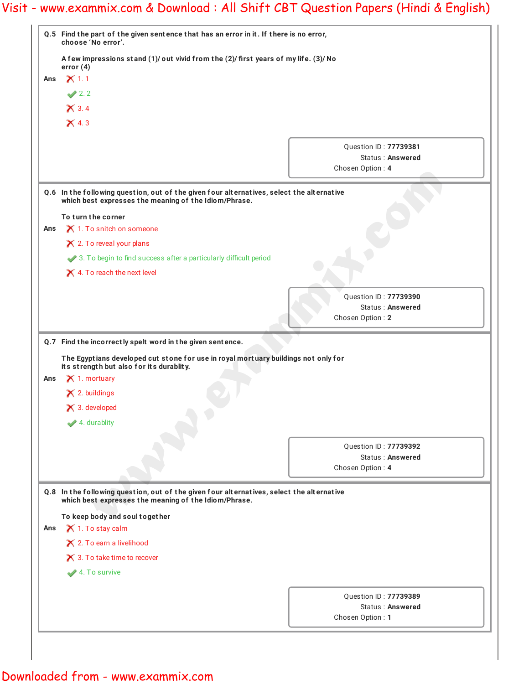|     | Q.5 Find the part of the given sentence that has an error in it. If there is no error,<br>choose 'No error'. |                                           |  |
|-----|--------------------------------------------------------------------------------------------------------------|-------------------------------------------|--|
|     | A few impressions stand (1)/ out vivid from the (2)/ first years of my life. (3)/ No<br>error $(4)$          |                                           |  |
| Ans | $\times$ 1.1<br>$\sqrt{2.2}$                                                                                 |                                           |  |
|     |                                                                                                              |                                           |  |
|     | $\times$ 4.3                                                                                                 |                                           |  |
|     |                                                                                                              | Question ID: 77739381                     |  |
|     |                                                                                                              | Status: Answered                          |  |
|     |                                                                                                              | Chosen Option: 4                          |  |
|     | Q.6 In the following question, out of the given four alternatives, select the alternative                    |                                           |  |
|     | which best expresses the meaning of the Idiom/Phrase.                                                        |                                           |  |
|     | To turn the corner                                                                                           |                                           |  |
| Ans | X 1. To snitch on someone                                                                                    |                                           |  |
|     | $\times$ 2. To reveal your plans                                                                             |                                           |  |
|     | 3. To begin to find success after a particularly difficult period                                            |                                           |  |
|     | $\times$ 4. To reach the next level                                                                          |                                           |  |
|     |                                                                                                              | Question ID: 77739390                     |  |
|     |                                                                                                              | <b>Status: Answered</b>                   |  |
|     |                                                                                                              | Chosen Option: 2                          |  |
|     | Q.7 Find the incorrectly spelt word in the given sentence.                                                   |                                           |  |
|     | The Egyptians developed cut stone for use in royal mortuary buildings not only for                           |                                           |  |
|     | its strength but also for its durablity.<br>$\times$ 1. mortuary                                             |                                           |  |
| Ans |                                                                                                              |                                           |  |
|     | $\times$ 2. buildings<br>$\times$ 3. developed                                                               |                                           |  |
|     |                                                                                                              |                                           |  |
|     | $\blacktriangleright$ 4. durablity                                                                           |                                           |  |
|     |                                                                                                              | Question ID: 77739392                     |  |
|     |                                                                                                              | Status: Answered                          |  |
|     |                                                                                                              | Chosen Option: 4                          |  |
|     |                                                                                                              |                                           |  |
|     | Q.8 In the following question, out of the given four alternatives, select the alternative                    |                                           |  |
|     | which best expresses the meaning of the Idiom/Phrase.                                                        |                                           |  |
|     | To keep body and soul together<br>X 1. To stay calm                                                          |                                           |  |
|     |                                                                                                              |                                           |  |
|     | X 2. To earn a livelihood                                                                                    |                                           |  |
|     | $\times$ 3. To take time to recover                                                                          |                                           |  |
| Ans | 4. To survive                                                                                                |                                           |  |
|     |                                                                                                              | Question ID: 77739389<br>Status: Answered |  |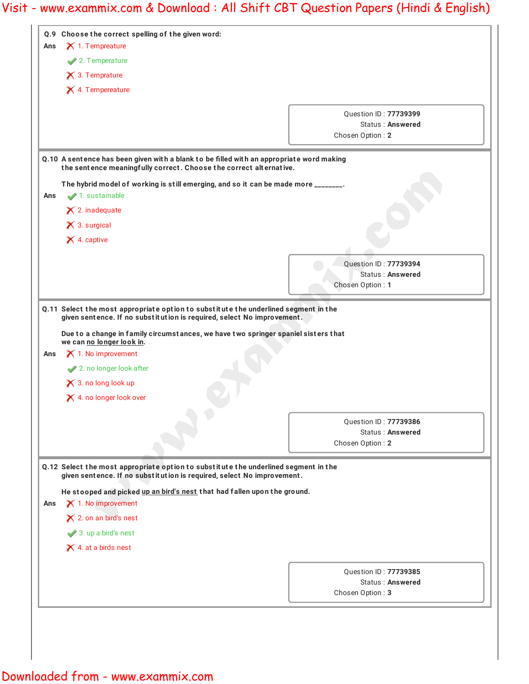|     | Q.9 Choose the correct spelling of the given word:                                                                                                             |                                                  |
|-----|----------------------------------------------------------------------------------------------------------------------------------------------------------------|--------------------------------------------------|
| Ans | $\times$ 1. Tempreature                                                                                                                                        |                                                  |
|     | 2. Temperature                                                                                                                                                 |                                                  |
|     | $\times$ 3. Temprature                                                                                                                                         |                                                  |
|     | $\times$ 4. Tempereature                                                                                                                                       |                                                  |
|     |                                                                                                                                                                |                                                  |
|     |                                                                                                                                                                | Question ID: 77739399<br><b>Status: Answered</b> |
|     |                                                                                                                                                                | Chosen Option: 2                                 |
|     | Q.10 A sentence has been given with a blank to be filled with an appropriate word making<br>the sentence meaningfully correct. Choose the correct alternative. |                                                  |
|     | The hybrid model of working is still emerging, and so it can be made more _______.                                                                             |                                                  |
| Ans | 1. sustainable                                                                                                                                                 |                                                  |
|     | $\times$ 2. inadequate                                                                                                                                         |                                                  |
|     | $\times$ 3. surgical                                                                                                                                           |                                                  |
|     | $\times$ 4. captive                                                                                                                                            |                                                  |
|     |                                                                                                                                                                |                                                  |
|     |                                                                                                                                                                | Question ID: 77739394                            |
|     |                                                                                                                                                                | <b>Status: Answered</b>                          |
|     |                                                                                                                                                                | Chosen Option: 1                                 |
| Ans | $\times$ 1. No improvement<br>2. no longer look after                                                                                                          |                                                  |
|     | $\times$ 3. no long look up                                                                                                                                    |                                                  |
|     | X 4. no longer look over                                                                                                                                       |                                                  |
|     |                                                                                                                                                                | Question ID: 77739386                            |
|     |                                                                                                                                                                | Status: Answered                                 |
|     |                                                                                                                                                                | Chosen Option: 2                                 |
|     | Q.12 Select the most appropriate option to substitute the underlined segment in the<br>given sentence. If no substitution is required, select No improvement.  |                                                  |
|     | He stooped and picked up an bird's nest that had fallen upon the ground.                                                                                       |                                                  |
|     | $\times$ 1. No improvement                                                                                                                                     |                                                  |
|     | X 2. on an bird's nest                                                                                                                                         |                                                  |
|     | 3. up a bird's nest                                                                                                                                            |                                                  |
|     | $\times$ 4. at a birds nest                                                                                                                                    |                                                  |
| Ans |                                                                                                                                                                | Question ID: 77739385                            |
|     |                                                                                                                                                                | Status: Answered<br>Chosen Option: 3             |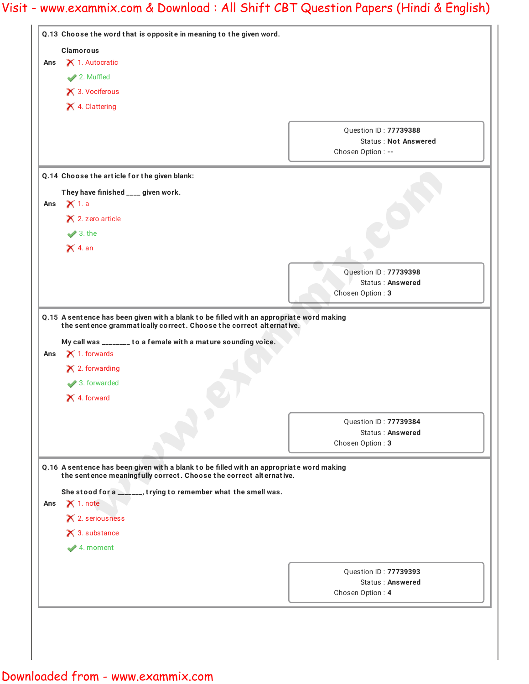|     | Q.13 Choose the word that is opposite in meaning to the given word.                                                                                                                                                              |                                           |
|-----|----------------------------------------------------------------------------------------------------------------------------------------------------------------------------------------------------------------------------------|-------------------------------------------|
|     | <b>Clamorous</b>                                                                                                                                                                                                                 |                                           |
| Ans | X 1. Autocratic                                                                                                                                                                                                                  |                                           |
|     | 2. Muffled                                                                                                                                                                                                                       |                                           |
|     | X 3. Vociferous                                                                                                                                                                                                                  |                                           |
|     | X 4. Clattering                                                                                                                                                                                                                  |                                           |
|     |                                                                                                                                                                                                                                  |                                           |
|     |                                                                                                                                                                                                                                  | Question ID: 77739388                     |
|     |                                                                                                                                                                                                                                  | <b>Status: Not Answered</b>               |
|     |                                                                                                                                                                                                                                  | Chosen Option : --                        |
|     | Q.14 Choose the article for the given blank:                                                                                                                                                                                     |                                           |
|     | They have finished ____ given work.                                                                                                                                                                                              |                                           |
| Ans | $\times$ 1. a                                                                                                                                                                                                                    |                                           |
|     | $\times$ 2. zero article                                                                                                                                                                                                         |                                           |
|     | $\blacktriangleright$ 3. the                                                                                                                                                                                                     |                                           |
|     | $\times$ 4. an                                                                                                                                                                                                                   |                                           |
|     |                                                                                                                                                                                                                                  |                                           |
|     |                                                                                                                                                                                                                                  | Question ID: 77739398                     |
|     |                                                                                                                                                                                                                                  |                                           |
|     |                                                                                                                                                                                                                                  | <b>Status: Answered</b>                   |
|     | Q.15 A sentence has been given with a blank to be filled with an appropriate word making<br>the sentence grammatically correct. Choose the correct alternative.<br>My call was _______ to a female with a mature sounding voice. | Chosen Option: 3                          |
| Ans | $\times$ 1. forwards<br>$\times$ 2. forwarding<br>3. forwarded                                                                                                                                                                   |                                           |
|     | X 4. forward                                                                                                                                                                                                                     |                                           |
|     |                                                                                                                                                                                                                                  | <b>Ouestion ID: 77739384</b>              |
|     |                                                                                                                                                                                                                                  | <b>Status: Answered</b>                   |
|     |                                                                                                                                                                                                                                  | Chosen Option: 3                          |
|     | Q.16 A sentence has been given with a blank to be filled with an appropriate word making                                                                                                                                         |                                           |
|     | the sentence meaningfully correct. Choose the correct alternative.                                                                                                                                                               |                                           |
|     | She stood for a <b>Normannian</b> , trying to remember what the smell was.                                                                                                                                                       |                                           |
|     | $\boldsymbol{\times}$ 1. note                                                                                                                                                                                                    |                                           |
|     | X 2. seriousness                                                                                                                                                                                                                 |                                           |
|     | $\times$ 3. substance                                                                                                                                                                                                            |                                           |
|     | $\blacktriangleright$ 4. moment                                                                                                                                                                                                  |                                           |
| Ans |                                                                                                                                                                                                                                  |                                           |
|     |                                                                                                                                                                                                                                  | Question ID: 77739393<br>Status: Answered |